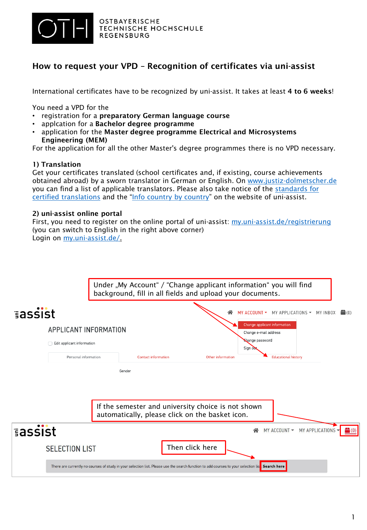

OSTBAYERISCHE **TECHNISCHE HOCHSCHULE** REGENSBURG

## How to request your VPD – Recognition of certificates via uni-assist

International certificates have to be recognized by uni-assist. It takes at least 4 to 6 weeks!

You need a VPD for the

- registration for a preparatory German language course
- applcation for a Bachelor degree programme
- application for the Master degree programme Electrical and Microsystems Engineering (MEM)

For the application for all the other Master's degree programmes there is no VPD necessary.

## 1) Translation

Get your certificates translated (school certificates and, if existing, course achievements obtained abroad) by a sworn translator in German or English. On [www.justiz-dolmetscher.de](http://www.justiz-dolmetscher.de/) [you can find a list of applicable translators. Please also take notice of the standards for](https://www.uni-assist.de/en/how-to-apply/assemble-your-documents/certified-copies-and-translations/#c2793)  certified translations and the ["Info country by country"](http://www.uni-assist.de/en/tools/info-country-by-country/) on the website of uni-assist.

## 2) uni-assist online portal

First, you need to register on the online portal of uni-assist: [my.uni-assist.de/registrierung](https://my.uni-assist.de/registrierung) (you can switch to English in the right above corner) Login on [my.uni-assist.de/.](https://my.uni-assist.de/)

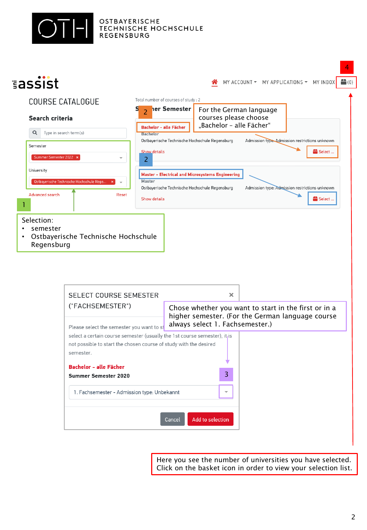



Here you see the number of universities you have selected. Click on the basket icon in order to view your selection list.